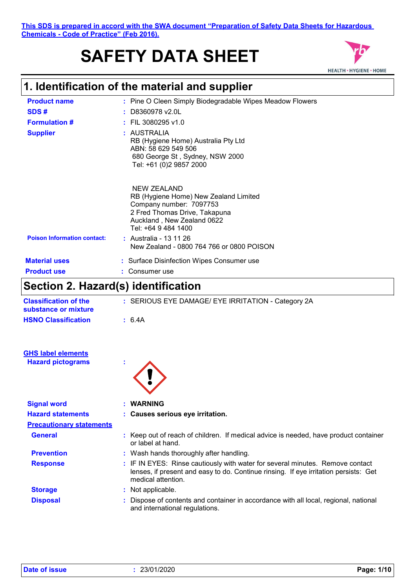### **This SDS is prepared in accord with the SWA document "Preparation of Safety Data Sheets for Hazardous Chemicals - Code of Practice" (Feb 2016).**

# **SAFETY DATA SHEET**



# **1. Identification of the material and supplier**

| <b>Product name</b>                | : Pine O Cleen Simply Biodegradable Wipes Meadow Flowers                                                                                                                                                                                     |
|------------------------------------|----------------------------------------------------------------------------------------------------------------------------------------------------------------------------------------------------------------------------------------------|
| SDS#                               | $:$ D8360978 v2.0L                                                                                                                                                                                                                           |
| <b>Formulation #</b>               | $:$ FIL 3080295 v1.0                                                                                                                                                                                                                         |
| <b>Supplier</b>                    | : AUSTRALIA<br>RB (Hygiene Home) Australia Pty Ltd<br>ABN: 58 629 549 506<br>680 George St, Sydney, NSW 2000<br>Tel: +61 (0)2 9857 2000                                                                                                      |
| <b>Poison Information contact:</b> | NEW ZEALAND<br>RB (Hygiene Home) New Zealand Limited<br>Company number: 7097753<br>2 Fred Thomas Drive, Takapuna<br>Auckland, New Zealand 0622<br>Tel: +64 9 484 1400<br>: Australia - 13 11 26<br>New Zealand - 0800 764 766 or 0800 POISON |
| <b>Material uses</b>               | : Surface Disinfection Wipes Consumer use                                                                                                                                                                                                    |
| <b>Product use</b>                 | Consumer use                                                                                                                                                                                                                                 |
|                                    |                                                                                                                                                                                                                                              |

# **Section 2. Hazard(s) identification**

| <b>Classification of the</b><br>substance or mixture | : SERIOUS EYE DAMAGE/ EYE IRRITATION - Category 2A                                                                                                                                          |
|------------------------------------------------------|---------------------------------------------------------------------------------------------------------------------------------------------------------------------------------------------|
| <b>HSNO Classification</b>                           | : 6.4A                                                                                                                                                                                      |
| <b>GHS label elements</b>                            |                                                                                                                                                                                             |
| <b>Hazard pictograms</b>                             |                                                                                                                                                                                             |
|                                                      |                                                                                                                                                                                             |
| <b>Signal word</b>                                   | : WARNING                                                                                                                                                                                   |
| <b>Hazard statements</b>                             | : Causes serious eye irritation.                                                                                                                                                            |
| <b>Precautionary statements</b>                      |                                                                                                                                                                                             |
| <b>General</b>                                       | : Keep out of reach of children. If medical advice is needed, have product container<br>or label at hand.                                                                                   |
| <b>Prevention</b>                                    | : Wash hands thoroughly after handling.                                                                                                                                                     |
| <b>Response</b>                                      | : IF IN EYES: Rinse cautiously with water for several minutes. Remove contact<br>lenses, if present and easy to do. Continue rinsing. If eye irritation persists: Get<br>medical attention. |
| <b>Storage</b>                                       | : Not applicable.                                                                                                                                                                           |
| <b>Disposal</b>                                      | Dispose of contents and container in accordance with all local, regional, national<br>and international regulations.                                                                        |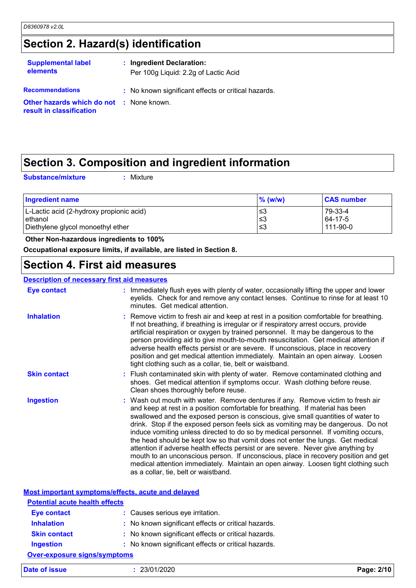# **Section 2. Hazard(s) identification**

| <b>Supplemental label</b><br><b>elements</b>                       | : Ingredient Declaration:<br>Per 100g Liquid: 2.2g of Lactic Acid |  |
|--------------------------------------------------------------------|-------------------------------------------------------------------|--|
| <b>Recommendations</b><br>Other hazards which do not : None known. | : No known significant effects or critical hazards.               |  |
| result in classification                                           |                                                                   |  |

# **Section 3. Composition and ingredient information**

**Substance/mixture :**

: Mixture

| <b>Ingredient name</b>                                | $\%$ (w/w)     | <b>CAS number</b>              |
|-------------------------------------------------------|----------------|--------------------------------|
| L-Lactic acid (2-hydroxy propionic acid)<br>l ethanol | ≤3<br>$\leq$ 3 | 79-33-4<br>64-17-5<br>111-90-0 |
| Diethylene glycol monoethyl ether                     | ≤3             |                                |

### **Other Non-hazardous ingredients to 100%**

**Occupational exposure limits, if available, are listed in Section 8.**

## **Section 4. First aid measures**

### **Description of necessary first aid measures**

| <b>Eye contact</b>  | Immediately flush eyes with plenty of water, occasionally lifting the upper and lower<br>eyelids. Check for and remove any contact lenses. Continue to rinse for at least 10<br>minutes. Get medical attention.                                                                                                                                                                                                                                                                                                                                                                                                                                                                                                                                                                                                              |
|---------------------|------------------------------------------------------------------------------------------------------------------------------------------------------------------------------------------------------------------------------------------------------------------------------------------------------------------------------------------------------------------------------------------------------------------------------------------------------------------------------------------------------------------------------------------------------------------------------------------------------------------------------------------------------------------------------------------------------------------------------------------------------------------------------------------------------------------------------|
| <b>Inhalation</b>   | : Remove victim to fresh air and keep at rest in a position comfortable for breathing.<br>If not breathing, if breathing is irregular or if respiratory arrest occurs, provide<br>artificial respiration or oxygen by trained personnel. It may be dangerous to the<br>person providing aid to give mouth-to-mouth resuscitation. Get medical attention if<br>adverse health effects persist or are severe. If unconscious, place in recovery<br>position and get medical attention immediately. Maintain an open airway. Loosen<br>tight clothing such as a collar, tie, belt or waistband.                                                                                                                                                                                                                                 |
| <b>Skin contact</b> | : Flush contaminated skin with plenty of water. Remove contaminated clothing and<br>shoes. Get medical attention if symptoms occur. Wash clothing before reuse.<br>Clean shoes thoroughly before reuse.                                                                                                                                                                                                                                                                                                                                                                                                                                                                                                                                                                                                                      |
| <b>Ingestion</b>    | : Wash out mouth with water. Remove dentures if any. Remove victim to fresh air<br>and keep at rest in a position comfortable for breathing. If material has been<br>swallowed and the exposed person is conscious, give small quantities of water to<br>drink. Stop if the exposed person feels sick as vomiting may be dangerous. Do not<br>induce vomiting unless directed to do so by medical personnel. If vomiting occurs,<br>the head should be kept low so that vomit does not enter the lungs. Get medical<br>attention if adverse health effects persist or are severe. Never give anything by<br>mouth to an unconscious person. If unconscious, place in recovery position and get<br>medical attention immediately. Maintain an open airway. Loosen tight clothing such<br>as a collar, tie, belt or waistband. |

|                                       | <b>Most important symptoms/effects, acute and delayed</b> |            |
|---------------------------------------|-----------------------------------------------------------|------------|
| <b>Potential acute health effects</b> |                                                           |            |
| <b>Eye contact</b>                    | : Causes serious eye irritation.                          |            |
| <b>Inhalation</b>                     | : No known significant effects or critical hazards.       |            |
| <b>Skin contact</b>                   | : No known significant effects or critical hazards.       |            |
| <b>Ingestion</b>                      | : No known significant effects or critical hazards.       |            |
| Over-exposure signs/symptoms          |                                                           |            |
| Date of issue                         | : 23/01/2020                                              | Page: 2/10 |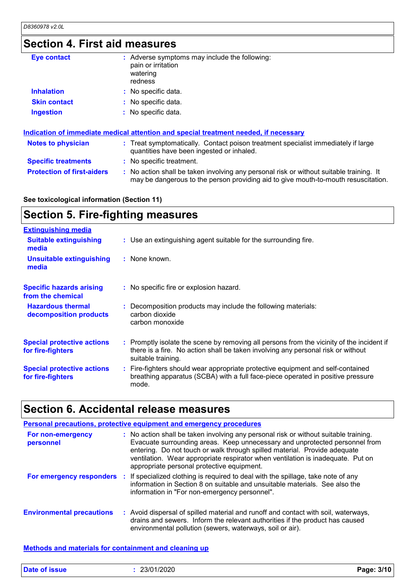# **Section 4. First aid measures**

| <b>Eye contact</b>                | : Adverse symptoms may include the following:<br>pain or irritation<br>watering<br>redness                                                                                    |
|-----------------------------------|-------------------------------------------------------------------------------------------------------------------------------------------------------------------------------|
| <b>Inhalation</b>                 | : No specific data.                                                                                                                                                           |
| <b>Skin contact</b>               | : No specific data.                                                                                                                                                           |
| <b>Ingestion</b>                  | : No specific data.                                                                                                                                                           |
|                                   | Indication of immediate medical attention and special treatment needed, if necessary                                                                                          |
| <b>Notes to physician</b>         | : Treat symptomatically. Contact poison treatment specialist immediately if large<br>quantities have been ingested or inhaled.                                                |
| <b>Specific treatments</b>        | : No specific treatment.                                                                                                                                                      |
| <b>Protection of first-aiders</b> | : No action shall be taken involving any personal risk or without suitable training. It<br>may be dangerous to the person providing aid to give mouth-to-mouth resuscitation. |

### **See toxicological information (Section 11)**

# **Section 5. Fire-fighting measures**

| <b>Extinguishing media</b><br>: Use an extinguishing agent suitable for the surrounding fire.<br><b>Suitable extinguishing</b><br>media<br>: None known.<br><b>Unsuitable extinguishing</b><br>media<br><b>Specific hazards arising</b><br>: No specific fire or explosion hazard.<br>from the chemical<br><b>Hazardous thermal</b><br>: Decomposition products may include the following materials:<br>carbon dioxide<br>decomposition products<br>carbon monoxide<br><b>Special protective actions</b><br>there is a fire. No action shall be taken involving any personal risk or without<br>for fire-fighters<br>suitable training.<br><b>Special protective actions</b><br>: Fire-fighters should wear appropriate protective equipment and self-contained<br>breathing apparatus (SCBA) with a full face-piece operated in positive pressure<br>for fire-fighters<br>mode. |                                                                                           |
|----------------------------------------------------------------------------------------------------------------------------------------------------------------------------------------------------------------------------------------------------------------------------------------------------------------------------------------------------------------------------------------------------------------------------------------------------------------------------------------------------------------------------------------------------------------------------------------------------------------------------------------------------------------------------------------------------------------------------------------------------------------------------------------------------------------------------------------------------------------------------------|-------------------------------------------------------------------------------------------|
|                                                                                                                                                                                                                                                                                                                                                                                                                                                                                                                                                                                                                                                                                                                                                                                                                                                                                  |                                                                                           |
|                                                                                                                                                                                                                                                                                                                                                                                                                                                                                                                                                                                                                                                                                                                                                                                                                                                                                  |                                                                                           |
|                                                                                                                                                                                                                                                                                                                                                                                                                                                                                                                                                                                                                                                                                                                                                                                                                                                                                  |                                                                                           |
|                                                                                                                                                                                                                                                                                                                                                                                                                                                                                                                                                                                                                                                                                                                                                                                                                                                                                  |                                                                                           |
|                                                                                                                                                                                                                                                                                                                                                                                                                                                                                                                                                                                                                                                                                                                                                                                                                                                                                  |                                                                                           |
|                                                                                                                                                                                                                                                                                                                                                                                                                                                                                                                                                                                                                                                                                                                                                                                                                                                                                  | : Promptly isolate the scene by removing all persons from the vicinity of the incident if |
|                                                                                                                                                                                                                                                                                                                                                                                                                                                                                                                                                                                                                                                                                                                                                                                                                                                                                  |                                                                                           |

# **Section 6. Accidental release measures**

|                                  | Personal precautions, protective equipment and emergency procedures                                                                                                                                                                                                                                                                                                               |
|----------------------------------|-----------------------------------------------------------------------------------------------------------------------------------------------------------------------------------------------------------------------------------------------------------------------------------------------------------------------------------------------------------------------------------|
| For non-emergency<br>personnel   | : No action shall be taken involving any personal risk or without suitable training.<br>Evacuate surrounding areas. Keep unnecessary and unprotected personnel from<br>entering. Do not touch or walk through spilled material. Provide adequate<br>ventilation. Wear appropriate respirator when ventilation is inadequate. Put on<br>appropriate personal protective equipment. |
| For emergency responders         | : If specialized clothing is required to deal with the spillage, take note of any<br>information in Section 8 on suitable and unsuitable materials. See also the<br>information in "For non-emergency personnel".                                                                                                                                                                 |
| <b>Environmental precautions</b> | : Avoid dispersal of spilled material and runoff and contact with soil, waterways,<br>drains and sewers. Inform the relevant authorities if the product has caused<br>environmental pollution (sewers, waterways, soil or air).                                                                                                                                                   |

### **Methods and materials for containment and cleaning up**

| <b>Date of issue</b> | 1/2020<br>23/01 | 3/1 <sup>r</sup><br>Page:<br>. |
|----------------------|-----------------|--------------------------------|
|                      |                 |                                |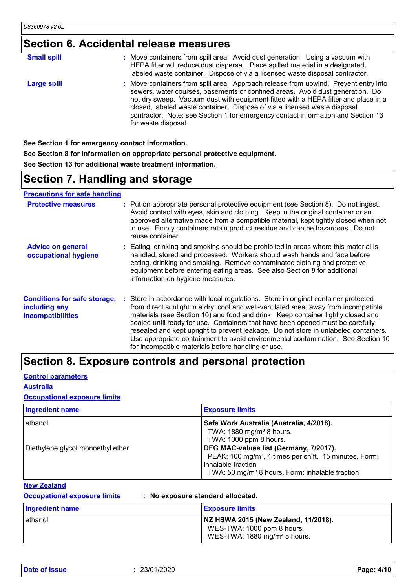# **Section 6. Accidental release measures**

| <b>Small spill</b> | : Move containers from spill area. Avoid dust generation. Using a vacuum with<br>HEPA filter will reduce dust dispersal. Place spilled material in a designated,<br>labeled waste container. Dispose of via a licensed waste disposal contractor.                                                                                                                                                                                                  |
|--------------------|----------------------------------------------------------------------------------------------------------------------------------------------------------------------------------------------------------------------------------------------------------------------------------------------------------------------------------------------------------------------------------------------------------------------------------------------------|
| <b>Large spill</b> | : Move containers from spill area. Approach release from upwind. Prevent entry into<br>sewers, water courses, basements or confined areas. Avoid dust generation. Do<br>not dry sweep. Vacuum dust with equipment fitted with a HEPA filter and place in a<br>closed, labeled waste container. Dispose of via a licensed waste disposal<br>contractor. Note: see Section 1 for emergency contact information and Section 13<br>for waste disposal. |

**See Section 1 for emergency contact information.**

**See Section 8 for information on appropriate personal protective equipment. See Section 13 for additional waste treatment information.**

# **Section 7. Handling and storage**

**Precautions for safe handling**

| <b>Protective measures</b>                                                       | : Put on appropriate personal protective equipment (see Section 8). Do not ingest.<br>Avoid contact with eyes, skin and clothing. Keep in the original container or an<br>approved alternative made from a compatible material, kept tightly closed when not<br>in use. Empty containers retain product residue and can be hazardous. Do not<br>reuse container.                                                                                                                                                                                                                   |
|----------------------------------------------------------------------------------|------------------------------------------------------------------------------------------------------------------------------------------------------------------------------------------------------------------------------------------------------------------------------------------------------------------------------------------------------------------------------------------------------------------------------------------------------------------------------------------------------------------------------------------------------------------------------------|
| <b>Advice on general</b><br>occupational hygiene                                 | : Eating, drinking and smoking should be prohibited in areas where this material is<br>handled, stored and processed. Workers should wash hands and face before<br>eating, drinking and smoking. Remove contaminated clothing and protective<br>equipment before entering eating areas. See also Section 8 for additional<br>information on hygiene measures.                                                                                                                                                                                                                      |
| <b>Conditions for safe storage,</b><br>including any<br><b>incompatibilities</b> | : Store in accordance with local regulations. Store in original container protected<br>from direct sunlight in a dry, cool and well-ventilated area, away from incompatible<br>materials (see Section 10) and food and drink. Keep container tightly closed and<br>sealed until ready for use. Containers that have been opened must be carefully<br>resealed and kept upright to prevent leakage. Do not store in unlabeled containers.<br>Use appropriate containment to avoid environmental contamination. See Section 10<br>for incompatible materials before handling or use. |

## **Section 8. Exposure controls and personal protection**

### **Control parameters**

**Australia**

### **Occupational exposure limits**

| <b>Ingredient name</b>                       | <b>Exposure limits</b>                                                                                                                                                                                                                                                                                          |
|----------------------------------------------|-----------------------------------------------------------------------------------------------------------------------------------------------------------------------------------------------------------------------------------------------------------------------------------------------------------------|
| ethanol<br>Diethylene glycol monoethyl ether | Safe Work Australia (Australia, 4/2018).<br>TWA: 1880 mg/m <sup>3</sup> 8 hours.<br>TWA: 1000 ppm 8 hours.<br>DFG MAC-values list (Germany, 7/2017).<br>PEAK: 100 mg/m <sup>3</sup> , 4 times per shift, 15 minutes. Form:<br>inhalable fraction<br>TWA: 50 mg/m <sup>3</sup> 8 hours. Form: inhalable fraction |

### **New Zealand**

| <b>Occupational exposure limits</b> | : No exposure standard allocated. |
|-------------------------------------|-----------------------------------|
|                                     |                                   |

| <b>Ingredient name</b> | <b>Exposure limits</b>                                                                                         |
|------------------------|----------------------------------------------------------------------------------------------------------------|
| ethanol                | NZ HSWA 2015 (New Zealand, 11/2018).<br>WES-TWA: 1000 ppm 8 hours.<br>WES-TWA: 1880 mg/m <sup>3</sup> 8 hours. |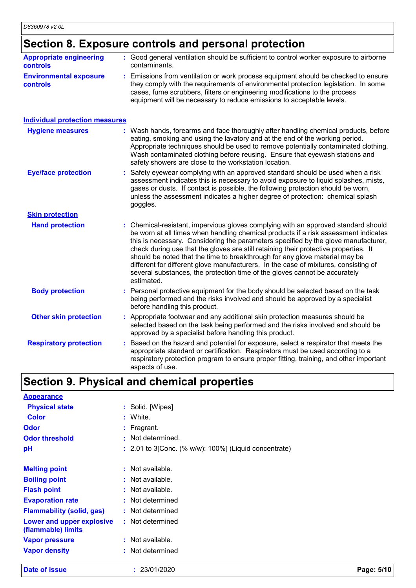### **Section 8. Exposure controls and personal protection**

|                                                  | occion of Exposure controls and personal protection                                                                                                                                                                                                                                                                                                                                                                                                                                                                                                                                                                       |
|--------------------------------------------------|---------------------------------------------------------------------------------------------------------------------------------------------------------------------------------------------------------------------------------------------------------------------------------------------------------------------------------------------------------------------------------------------------------------------------------------------------------------------------------------------------------------------------------------------------------------------------------------------------------------------------|
| <b>Appropriate engineering</b><br>controls       | : Good general ventilation should be sufficient to control worker exposure to airborne<br>contaminants.                                                                                                                                                                                                                                                                                                                                                                                                                                                                                                                   |
| <b>Environmental exposure</b><br><b>controls</b> | : Emissions from ventilation or work process equipment should be checked to ensure<br>they comply with the requirements of environmental protection legislation. In some<br>cases, fume scrubbers, filters or engineering modifications to the process<br>equipment will be necessary to reduce emissions to acceptable levels.                                                                                                                                                                                                                                                                                           |
| <b>Individual protection measures</b>            |                                                                                                                                                                                                                                                                                                                                                                                                                                                                                                                                                                                                                           |
| <b>Hygiene measures</b>                          | : Wash hands, forearms and face thoroughly after handling chemical products, before<br>eating, smoking and using the lavatory and at the end of the working period.<br>Appropriate techniques should be used to remove potentially contaminated clothing.<br>Wash contaminated clothing before reusing. Ensure that eyewash stations and<br>safety showers are close to the workstation location.                                                                                                                                                                                                                         |
| <b>Eye/face protection</b>                       | : Safety eyewear complying with an approved standard should be used when a risk<br>assessment indicates this is necessary to avoid exposure to liquid splashes, mists,<br>gases or dusts. If contact is possible, the following protection should be worn,<br>unless the assessment indicates a higher degree of protection: chemical splash<br>goggles.                                                                                                                                                                                                                                                                  |
| <b>Skin protection</b>                           |                                                                                                                                                                                                                                                                                                                                                                                                                                                                                                                                                                                                                           |
| <b>Hand protection</b>                           | : Chemical-resistant, impervious gloves complying with an approved standard should<br>be worn at all times when handling chemical products if a risk assessment indicates<br>this is necessary. Considering the parameters specified by the glove manufacturer,<br>check during use that the gloves are still retaining their protective properties. It<br>should be noted that the time to breakthrough for any glove material may be<br>different for different glove manufacturers. In the case of mixtures, consisting of<br>several substances, the protection time of the gloves cannot be accurately<br>estimated. |
| <b>Body protection</b>                           | : Personal protective equipment for the body should be selected based on the task<br>being performed and the risks involved and should be approved by a specialist                                                                                                                                                                                                                                                                                                                                                                                                                                                        |

- before handling this product. **Other skin protection :** Appropriate footwear and any additional skin protection measures should be selected based on the task being performed and the risks involved and should be approved by a specialist before handling this product.
- : Based on the hazard and potential for exposure, select a respirator that meets the appropriate standard or certification. Respirators must be used according to a respiratory protection program to ensure proper fitting, training, and other important aspects of use. **Respiratory protection :**

# **Section 9. Physical and chemical properties**

| <b>Appearance</b>                               |                                                          |
|-------------------------------------------------|----------------------------------------------------------|
| <b>Physical state</b>                           | : Solid. [Wipes]                                         |
| <b>Color</b>                                    | White.                                                   |
| <b>Odor</b>                                     | $:$ Fragrant.                                            |
| <b>Odor threshold</b>                           | : Not determined.                                        |
| рH                                              | $: 2.01$ to 3 [Conc. (% w/w): 100%] (Liquid concentrate) |
|                                                 |                                                          |
| <b>Melting point</b>                            | $:$ Not available.                                       |
| <b>Boiling point</b>                            | $:$ Not available.                                       |
| <b>Flash point</b>                              | $:$ Not available.                                       |
| <b>Evaporation rate</b>                         | : Not determined                                         |
| <b>Flammability (solid, gas)</b>                | : Not determined                                         |
| Lower and upper explosive<br>(flammable) limits | : Not determined                                         |
| <b>Vapor pressure</b>                           | $:$ Not available.                                       |
| <b>Vapor density</b>                            | : Not determined                                         |

**Date of issue :** 23/01/2020 **Page: 5/10**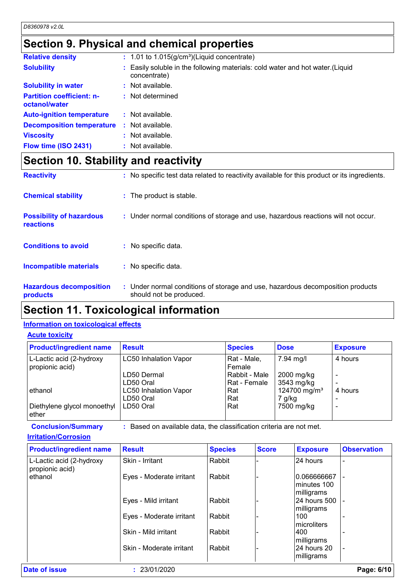# **Section 9. Physical and chemical properties**

| <b>Relative density</b>                           | $: 1.01$ to 1.015(g/cm <sup>3</sup> )(Liquid concentrate)                                      |
|---------------------------------------------------|------------------------------------------------------------------------------------------------|
| <b>Solubility</b>                                 | : Easily soluble in the following materials: cold water and hot water. (Liquid<br>concentrate) |
| <b>Solubility in water</b>                        | : Not available.                                                                               |
| <b>Partition coefficient: n-</b><br>octanol/water | : Not determined                                                                               |
| <b>Auto-ignition temperature</b>                  | : Not available.                                                                               |
| <b>Decomposition temperature</b>                  | : Not available.                                                                               |
| <b>Viscosity</b>                                  | : Not available.                                                                               |
| Flow time (ISO 2431)                              | : Not available.                                                                               |

# **Section 10. Stability and reactivity**

| <b>Reactivity</b>                                   | : No specific test data related to reactivity available for this product or its ingredients.              |
|-----------------------------------------------------|-----------------------------------------------------------------------------------------------------------|
| <b>Chemical stability</b>                           | : The product is stable.                                                                                  |
| <b>Possibility of hazardous</b><br><b>reactions</b> | : Under normal conditions of storage and use, hazardous reactions will not occur.                         |
| <b>Conditions to avoid</b>                          | : No specific data.                                                                                       |
| Incompatible materials                              | : No specific data.                                                                                       |
| <b>Hazardous decomposition</b><br>products          | : Under normal conditions of storage and use, hazardous decomposition products<br>should not be produced. |

# **Section 11. Toxicological information**

### **Information on toxicological effects**

**Acute toxicity**

| <b>Product/ingredient name</b>              | <b>Result</b>                             | <b>Species</b>                | <b>Dose</b>                        | <b>Exposure</b> |
|---------------------------------------------|-------------------------------------------|-------------------------------|------------------------------------|-----------------|
| L-Lactic acid (2-hydroxy<br>propionic acid) | <b>LC50 Inhalation Vapor</b>              | Rat - Male,<br>Female         | 7.94 mg/l                          | 4 hours         |
|                                             | LD50 Dermal<br>LD50 Oral                  | Rabbit - Male<br>Rat - Female | 2000 mg/kg<br>3543 mg/kg           |                 |
| ethanol                                     | <b>LC50 Inhalation Vapor</b><br>LD50 Oral | Rat<br>Rat                    | 124700 mg/m <sup>3</sup><br>7 g/kg | 4 hours         |
| Diethylene glycol monoethyl<br>ether        | LD50 Oral                                 | Rat                           | 7500 mg/kg                         |                 |

**Conclusion/Summary :** Based on available data, the classification criteria are not met.

### **Irritation/Corrosion**

| <b>Product/ingredient name</b>              | <b>Result</b>            | <b>Species</b> | <b>Score</b> | <b>Exposure</b>                           | <b>Observation</b> |
|---------------------------------------------|--------------------------|----------------|--------------|-------------------------------------------|--------------------|
| L-Lactic acid (2-hydroxy<br>propionic acid) | Skin - Irritant          | Rabbit         |              | 24 hours                                  |                    |
| ethanol                                     | Eyes - Moderate irritant | Rabbit         |              | 0.066666667<br>Iminutes 100<br>milligrams |                    |
|                                             | Eyes - Mild irritant     | Rabbit         |              | <b>24 hours 500</b><br>milligrams         |                    |
|                                             | Eyes - Moderate irritant | Rabbit         |              | 100<br>Imicroliters                       |                    |
|                                             | Skin - Mild irritant     | Rabbit         |              | 1400<br>milligrams                        |                    |
|                                             | Skin - Moderate irritant | Rabbit         |              | 124 hours 20<br>milligrams                |                    |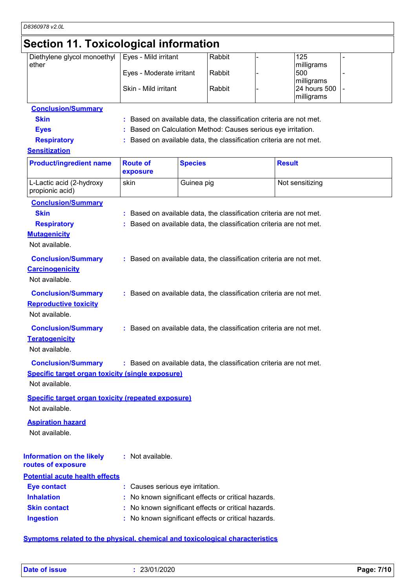# **Section 11. Toxicological information**

| Diethylene glycol monoethyl<br>ether | Eyes - Mild irritant     | Rabbit | 125<br>milligrams            |  |
|--------------------------------------|--------------------------|--------|------------------------------|--|
|                                      | Eyes - Moderate irritant | Rabbit | 500<br>milligrams            |  |
|                                      | Skin - Mild irritant     | Rabbit | 24 hours 500 -<br>milligrams |  |

| <b>Conclusion/Summary</b> |                                                                     |
|---------------------------|---------------------------------------------------------------------|
| <b>Skin</b>               | : Based on available data, the classification criteria are not met. |
| <b>Eves</b>               | : Based on Calculation Method: Causes serious eye irritation.       |
| <b>Respiratory</b>        | : Based on available data, the classification criteria are not met. |

### **Sensitization**

| <b>Product/ingredient name</b>                            | <b>Route of</b><br>exposure      | <b>Species</b>                                                      | <b>Result</b>   |
|-----------------------------------------------------------|----------------------------------|---------------------------------------------------------------------|-----------------|
| L-Lactic acid (2-hydroxy<br>propionic acid)               | skin                             | Guinea pig                                                          | Not sensitizing |
| <b>Conclusion/Summary</b>                                 |                                  |                                                                     |                 |
| <b>Skin</b>                                               |                                  | : Based on available data, the classification criteria are not met. |                 |
| <b>Respiratory</b>                                        |                                  | : Based on available data, the classification criteria are not met. |                 |
| <b>Mutagenicity</b>                                       |                                  |                                                                     |                 |
| Not available.                                            |                                  |                                                                     |                 |
| <b>Conclusion/Summary</b>                                 |                                  | : Based on available data, the classification criteria are not met. |                 |
| <b>Carcinogenicity</b>                                    |                                  |                                                                     |                 |
| Not available.                                            |                                  |                                                                     |                 |
| <b>Conclusion/Summary</b>                                 |                                  | : Based on available data, the classification criteria are not met. |                 |
| <b>Reproductive toxicity</b>                              |                                  |                                                                     |                 |
| Not available.                                            |                                  |                                                                     |                 |
| <b>Conclusion/Summary</b>                                 |                                  | : Based on available data, the classification criteria are not met. |                 |
| <b>Teratogenicity</b>                                     |                                  |                                                                     |                 |
| Not available.                                            |                                  |                                                                     |                 |
| <b>Conclusion/Summary</b>                                 |                                  | : Based on available data, the classification criteria are not met. |                 |
| <b>Specific target organ toxicity (single exposure)</b>   |                                  |                                                                     |                 |
| Not available.                                            |                                  |                                                                     |                 |
| <b>Specific target organ toxicity (repeated exposure)</b> |                                  |                                                                     |                 |
| Not available.                                            |                                  |                                                                     |                 |
| <b>Aspiration hazard</b>                                  |                                  |                                                                     |                 |
| Not available.                                            |                                  |                                                                     |                 |
|                                                           |                                  |                                                                     |                 |
| <b>Information on the likely</b>                          | : Not available.                 |                                                                     |                 |
| routes of exposure                                        |                                  |                                                                     |                 |
| <b>Potential acute health effects</b>                     |                                  |                                                                     |                 |
| <b>Eye contact</b>                                        | : Causes serious eye irritation. |                                                                     |                 |
| <b>Inhalation</b>                                         |                                  | No known significant effects or critical hazards.                   |                 |
| <b>Skin contact</b>                                       |                                  | No known significant effects or critical hazards.                   |                 |
| <b>Ingestion</b>                                          |                                  | No known significant effects or critical hazards.                   |                 |
|                                                           |                                  |                                                                     |                 |

**Symptoms related to the physical, chemical and toxicological characteristics**

**Date of issue :** 23/01/2020 **Page: 7/10**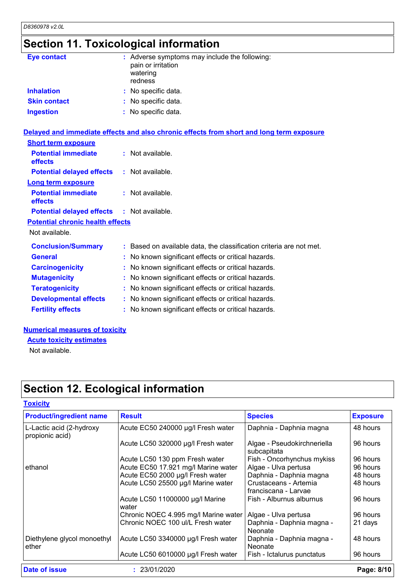# **Section 11. Toxicological information**

| <b>Eye contact</b>                      | : Adverse symptoms may include the following:<br>pain or irritation<br>watering<br>redness |
|-----------------------------------------|--------------------------------------------------------------------------------------------|
| <b>Inhalation</b>                       | : No specific data.                                                                        |
| <b>Skin contact</b>                     | : No specific data.                                                                        |
| <b>Ingestion</b>                        | : No specific data.                                                                        |
|                                         | Delayed and immediate effects and also chronic effects from short and long term exposure   |
| <b>Short term exposure</b>              |                                                                                            |
| <b>Potential immediate</b><br>effects   | : Not available.                                                                           |
| <b>Potential delayed effects</b>        | : Not available.                                                                           |
| <b>Long term exposure</b>               |                                                                                            |
| <b>Potential immediate</b><br>effects   | : Not available.                                                                           |
| <b>Potential delayed effects</b>        | : Not available.                                                                           |
| <b>Potential chronic health effects</b> |                                                                                            |
| Not available.                          |                                                                                            |
| <b>Conclusion/Summary</b>               | : Based on available data, the classification criteria are not met.                        |
| <b>General</b>                          | : No known significant effects or critical hazards.                                        |
| <b>Carcinogenicity</b>                  | : No known significant effects or critical hazards.                                        |
| <b>Mutagenicity</b>                     | : No known significant effects or critical hazards.                                        |
| <b>Teratogenicity</b>                   | : No known significant effects or critical hazards.                                        |
| <b>Developmental effects</b>            | : No known significant effects or critical hazards.                                        |
| <b>Fertility effects</b>                | : No known significant effects or critical hazards.                                        |

### **Numerical measures of toxicity**

**Acute toxicity estimates**

Not available.

# **Section 12. Ecological information**

| <b>Product/ingredient name</b>              | <b>Result</b>                            | <b>Species</b>                                | <b>Exposure</b> |  |
|---------------------------------------------|------------------------------------------|-----------------------------------------------|-----------------|--|
| L-Lactic acid (2-hydroxy<br>propionic acid) | Acute EC50 240000 µg/l Fresh water       | Daphnia - Daphnia magna                       | 48 hours        |  |
|                                             | Acute LC50 320000 µg/l Fresh water       | Algae - Pseudokirchneriella<br>subcapitata    | 96 hours        |  |
|                                             | Acute LC50 130 ppm Fresh water           | Fish - Oncorhynchus mykiss                    | 96 hours        |  |
| ethanol                                     | Acute EC50 17.921 mg/l Marine water      | Algae - Ulva pertusa                          | 96 hours        |  |
|                                             | Acute EC50 2000 µg/l Fresh water         | Daphnia - Daphnia magna                       | 48 hours        |  |
|                                             | Acute LC50 25500 µg/l Marine water       | Crustaceans - Artemia<br>franciscana - Larvae | 48 hours        |  |
|                                             | Acute LC50 11000000 µg/l Marine<br>water | Fish - Alburnus alburnus                      | 96 hours        |  |
|                                             | Chronic NOEC 4.995 mg/l Marine water     | Algae - Ulva pertusa                          | 96 hours        |  |
|                                             | Chronic NOEC 100 ul/L Fresh water        | Daphnia - Daphnia magna -<br>Neonate          | 21 days         |  |
| Diethylene glycol monoethyl<br>ether        | Acute LC50 3340000 µg/l Fresh water      | Daphnia - Daphnia magna -<br>Neonate          | 48 hours        |  |
|                                             | Acute LC50 6010000 µg/l Fresh water      | Fish - Ictalurus punctatus                    | 96 hours        |  |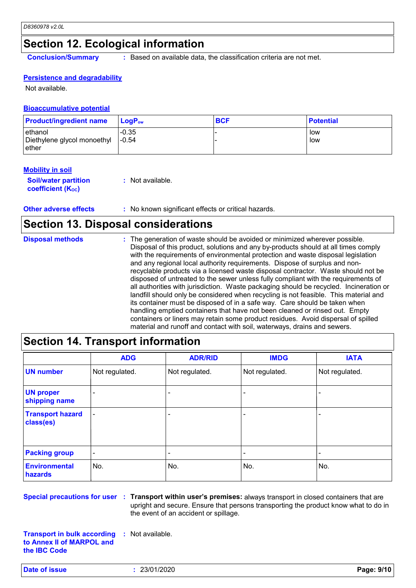# **Section 12. Ecological information**

**Conclusion/Summary :** Based on available data, the classification criteria are not met.

### **Persistence and degradability**

Not available.

### **Bioaccumulative potential**

| <b>Product/ingredient name</b>                   | <b>LogP</b> <sub>ow</sub> | <b>BCF</b> | <b>Potential</b> |
|--------------------------------------------------|---------------------------|------------|------------------|
| ethanol<br>Diethylene glycol monoethyl<br>⊥ether | $-0.35$<br>$-0.54$        |            | low<br>. Iow     |

#### **Mobility in soil**

| <b>Soil/water partition</b>    | : Not available. |
|--------------------------------|------------------|
| coefficient (K <sub>oc</sub> ) |                  |

**Other adverse effects** : No known significant effects or critical hazards.

### **Section 13. Disposal considerations**

| <b>Disposal methods</b> | : The generation of waste should be avoided or minimized wherever possible.<br>Disposal of this product, solutions and any by-products should at all times comply<br>with the requirements of environmental protection and waste disposal legislation<br>and any regional local authority requirements. Dispose of surplus and non-<br>recyclable products via a licensed waste disposal contractor. Waste should not be<br>disposed of untreated to the sewer unless fully compliant with the requirements of<br>all authorities with jurisdiction. Waste packaging should be recycled. Incineration or<br>landfill should only be considered when recycling is not feasible. This material and<br>its container must be disposed of in a safe way. Care should be taken when<br>handling emptied containers that have not been cleaned or rinsed out. Empty |
|-------------------------|---------------------------------------------------------------------------------------------------------------------------------------------------------------------------------------------------------------------------------------------------------------------------------------------------------------------------------------------------------------------------------------------------------------------------------------------------------------------------------------------------------------------------------------------------------------------------------------------------------------------------------------------------------------------------------------------------------------------------------------------------------------------------------------------------------------------------------------------------------------|
|                         | containers or liners may retain some product residues. Avoid dispersal of spilled<br>material and runoff and contact with soil, waterways, drains and sewers.                                                                                                                                                                                                                                                                                                                                                                                                                                                                                                                                                                                                                                                                                                 |

# **Section 14. Transport information**

|                                      | <b>ADG</b>               | <b>ADR/RID</b>           | <b>IMDG</b>    | <b>IATA</b>    |
|--------------------------------------|--------------------------|--------------------------|----------------|----------------|
| <b>UN number</b>                     | Not regulated.           | Not regulated.           | Not regulated. | Not regulated. |
| <b>UN proper</b><br>shipping name    | $\overline{\phantom{0}}$ |                          |                |                |
| <b>Transport hazard</b><br>class(es) | $\overline{\phantom{a}}$ | $\overline{\phantom{0}}$ |                |                |
| <b>Packing group</b>                 | $\overline{\phantom{a}}$ | $\overline{\phantom{0}}$ | ۰              |                |
| <b>Environmental</b><br>hazards      | No.                      | No.                      | No.            | No.            |

**Special precautions for user Transport within user's premises:** always transport in closed containers that are **:** upright and secure. Ensure that persons transporting the product know what to do in the event of an accident or spillage.

**Transport in bulk according to Annex II of MARPOL and the IBC Code :** Not available.

**Date of issue :** 23/01/2020 **Page: 9/10**